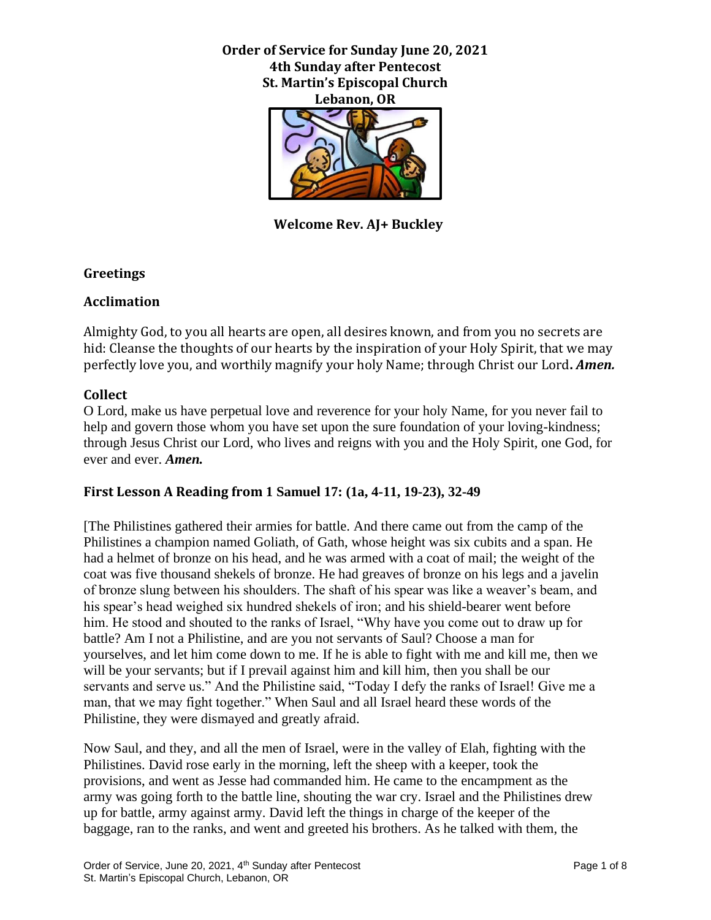**Order of Service for Sunday June 20, 2021 4th Sunday after Pentecost St. Martin's Episcopal Church Lebanon, OR**



 **Welcome Rev. AJ+ Buckley**

### **Greetings**

### **Acclimation**

Almighty God, to you all hearts are open, all desires known, and from you no secrets are hid: Cleanse the thoughts of our hearts by the inspiration of your Holy Spirit, that we may perfectly love you, and worthily magnify your holy Name; through Christ our Lord**.** *Amen.*

### **Collect**

O Lord, make us have perpetual love and reverence for your holy Name, for you never fail to help and govern those whom you have set upon the sure foundation of your loving-kindness; through Jesus Christ our Lord, who lives and reigns with you and the Holy Spirit, one God, for ever and ever. *Amen.*

## **First Lesson A Reading from 1 Samuel 17: (1a, 4-11, 19-23), 32-49**

[The Philistines gathered their armies for battle. And there came out from the camp of the Philistines a champion named Goliath, of Gath, whose height was six cubits and a span. He had a helmet of bronze on his head, and he was armed with a coat of mail; the weight of the coat was five thousand shekels of bronze. He had greaves of bronze on his legs and a javelin of bronze slung between his shoulders. The shaft of his spear was like a weaver's beam, and his spear's head weighed six hundred shekels of iron; and his shield-bearer went before him. He stood and shouted to the ranks of Israel, "Why have you come out to draw up for battle? Am I not a Philistine, and are you not servants of Saul? Choose a man for yourselves, and let him come down to me. If he is able to fight with me and kill me, then we will be your servants; but if I prevail against him and kill him, then you shall be our servants and serve us." And the Philistine said, "Today I defy the ranks of Israel! Give me a man, that we may fight together." When Saul and all Israel heard these words of the Philistine, they were dismayed and greatly afraid.

Now Saul, and they, and all the men of Israel, were in the valley of Elah, fighting with the Philistines. David rose early in the morning, left the sheep with a keeper, took the provisions, and went as Jesse had commanded him. He came to the encampment as the army was going forth to the battle line, shouting the war cry. Israel and the Philistines drew up for battle, army against army. David left the things in charge of the keeper of the baggage, ran to the ranks, and went and greeted his brothers. As he talked with them, the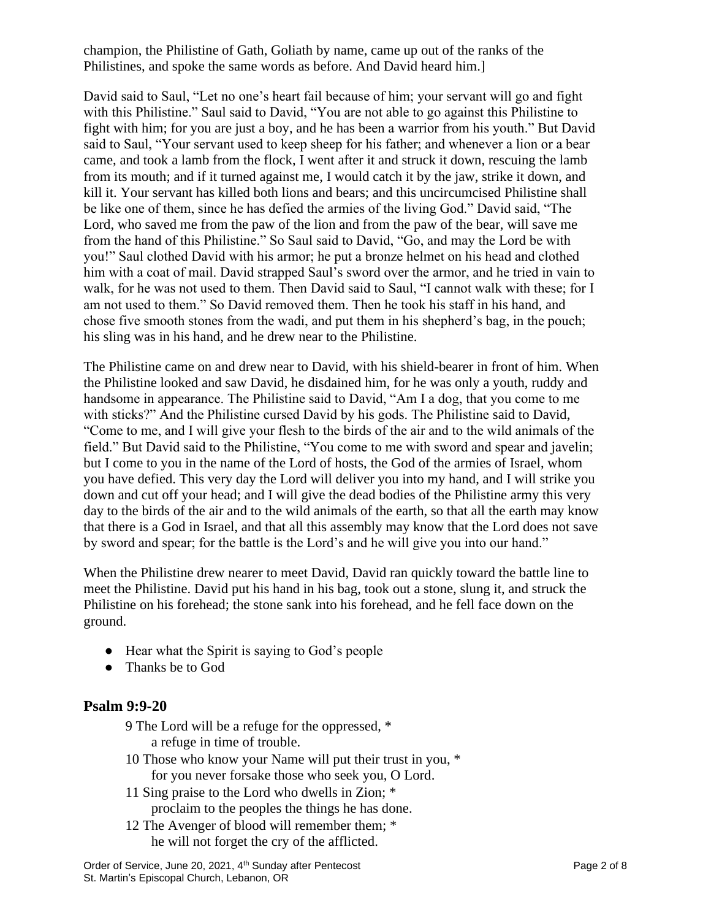champion, the Philistine of Gath, Goliath by name, came up out of the ranks of the Philistines, and spoke the same words as before. And David heard him.]

David said to Saul, "Let no one's heart fail because of him; your servant will go and fight with this Philistine." Saul said to David, "You are not able to go against this Philistine to fight with him; for you are just a boy, and he has been a warrior from his youth." But David said to Saul, "Your servant used to keep sheep for his father; and whenever a lion or a bear came, and took a lamb from the flock, I went after it and struck it down, rescuing the lamb from its mouth; and if it turned against me, I would catch it by the jaw, strike it down, and kill it. Your servant has killed both lions and bears; and this uncircumcised Philistine shall be like one of them, since he has defied the armies of the living God." David said, "The Lord, who saved me from the paw of the lion and from the paw of the bear, will save me from the hand of this Philistine." So Saul said to David, "Go, and may the Lord be with you!" Saul clothed David with his armor; he put a bronze helmet on his head and clothed him with a coat of mail. David strapped Saul's sword over the armor, and he tried in vain to walk, for he was not used to them. Then David said to Saul, "I cannot walk with these; for I am not used to them." So David removed them. Then he took his staff in his hand, and chose five smooth stones from the wadi, and put them in his shepherd's bag, in the pouch; his sling was in his hand, and he drew near to the Philistine.

The Philistine came on and drew near to David, with his shield-bearer in front of him. When the Philistine looked and saw David, he disdained him, for he was only a youth, ruddy and handsome in appearance. The Philistine said to David, "Am I a dog, that you come to me with sticks?" And the Philistine cursed David by his gods. The Philistine said to David, "Come to me, and I will give your flesh to the birds of the air and to the wild animals of the field." But David said to the Philistine, "You come to me with sword and spear and javelin; but I come to you in the name of the Lord of hosts, the God of the armies of Israel, whom you have defied. This very day the Lord will deliver you into my hand, and I will strike you down and cut off your head; and I will give the dead bodies of the Philistine army this very day to the birds of the air and to the wild animals of the earth, so that all the earth may know that there is a God in Israel, and that all this assembly may know that the Lord does not save by sword and spear; for the battle is the Lord's and he will give you into our hand."

When the Philistine drew nearer to meet David, David ran quickly toward the battle line to meet the Philistine. David put his hand in his bag, took out a stone, slung it, and struck the Philistine on his forehead; the stone sank into his forehead, and he fell face down on the ground.

- Hear what the Spirit is saying to God's people
- Thanks be to God

## **Psalm 9:9-20**

- 9 The Lord will be a refuge for the oppressed, \* a refuge in time of trouble.
- 10 Those who know your Name will put their trust in you, \* for you never forsake those who seek you, O Lord.
- 11 Sing praise to the Lord who dwells in Zion; \* proclaim to the peoples the things he has done.
- 12 The Avenger of blood will remember them; \* he will not forget the cry of the afflicted.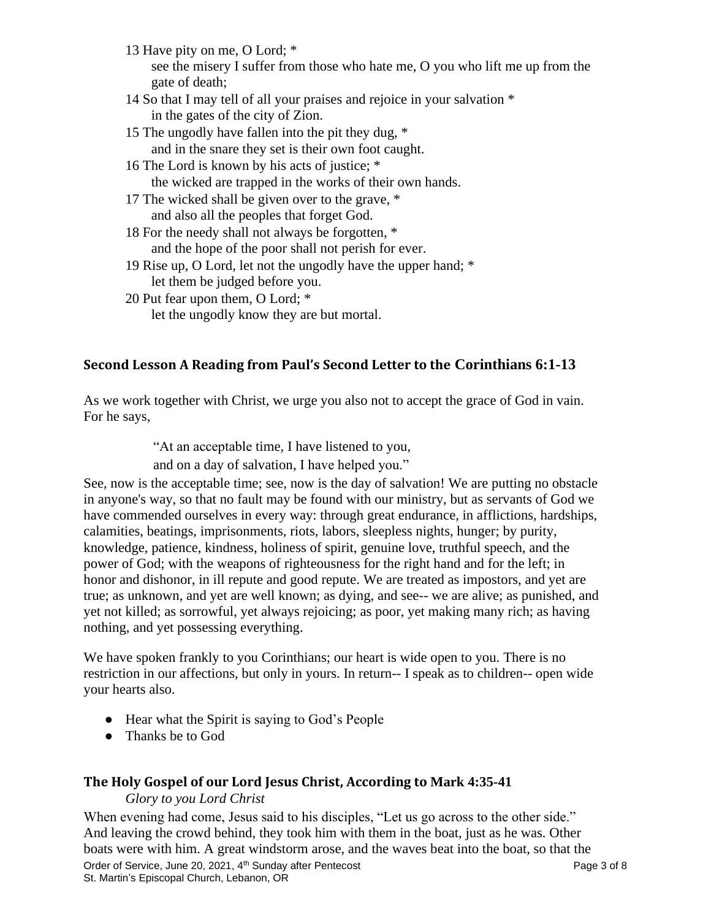- 13 Have pity on me, O Lord; \* see the misery I suffer from those who hate me, O you who lift me up from the gate of death;
- 14 So that I may tell of all your praises and rejoice in your salvation \* in the gates of the city of Zion.
- 15 The ungodly have fallen into the pit they dug, \* and in the snare they set is their own foot caught.
- 16 The Lord is known by his acts of justice; \* the wicked are trapped in the works of their own hands.
- 17 The wicked shall be given over to the grave, \* and also all the peoples that forget God.
- 18 For the needy shall not always be forgotten, \* and the hope of the poor shall not perish for ever.
- 19 Rise up, O Lord, let not the ungodly have the upper hand; \* let them be judged before you.
- 20 Put fear upon them, O Lord; \*
	- let the ungodly know they are but mortal.

## **Second Lesson A Reading from Paul's Second Letter to the Corinthians 6:1-13**

As we work together with Christ, we urge you also not to accept the grace of God in vain. For he says,

"At an acceptable time, I have listened to you,

and on a day of salvation, I have helped you."

See, now is the acceptable time; see, now is the day of salvation! We are putting no obstacle in anyone's way, so that no fault may be found with our ministry, but as servants of God we have commended ourselves in every way: through great endurance, in afflictions, hardships, calamities, beatings, imprisonments, riots, labors, sleepless nights, hunger; by purity, knowledge, patience, kindness, holiness of spirit, genuine love, truthful speech, and the power of God; with the weapons of righteousness for the right hand and for the left; in honor and dishonor, in ill repute and good repute. We are treated as impostors, and yet are true; as unknown, and yet are well known; as dying, and see-- we are alive; as punished, and yet not killed; as sorrowful, yet always rejoicing; as poor, yet making many rich; as having nothing, and yet possessing everything.

We have spoken frankly to you Corinthians; our heart is wide open to you. There is no restriction in our affections, but only in yours. In return-- I speak as to children-- open wide your hearts also.

- Hear what the Spirit is saying to God's People
- Thanks be to God

## **The Holy Gospel of our Lord Jesus Christ, According to Mark 4:35-41**

*Glory to you Lord Christ*

When evening had come, Jesus said to his disciples, "Let us go across to the other side." And leaving the crowd behind, they took him with them in the boat, just as he was. Other boats were with him. A great windstorm arose, and the waves beat into the boat, so that the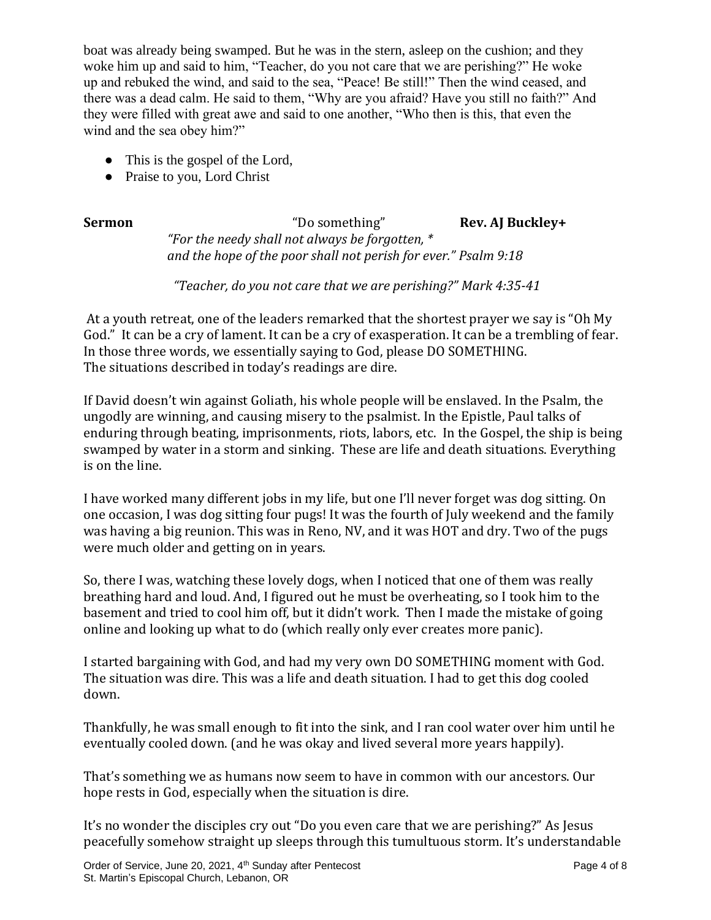boat was already being swamped. But he was in the stern, asleep on the cushion; and they woke him up and said to him, "Teacher, do you not care that we are perishing?" He woke up and rebuked the wind, and said to the sea, "Peace! Be still!" Then the wind ceased, and there was a dead calm. He said to them, "Why are you afraid? Have you still no faith?" And they were filled with great awe and said to one another, "Who then is this, that even the wind and the sea obey him?"

- This is the gospel of the Lord,
- Praise to you, Lord Christ

**Sermon** "Do something" **Rev. AJ Buckley+** *"For the needy shall not always be forgotten, \* and the hope of the poor shall not perish for ever." Psalm 9:18*

*"Teacher, do you not care that we are perishing?" Mark 4:35-41*

At a youth retreat, one of the leaders remarked that the shortest prayer we say is "Oh My God." It can be a cry of lament. It can be a cry of exasperation. It can be a trembling of fear. In those three words, we essentially saying to God, please DO SOMETHING. The situations described in today's readings are dire.

If David doesn't win against Goliath, his whole people will be enslaved. In the Psalm, the ungodly are winning, and causing misery to the psalmist. In the Epistle, Paul talks of enduring through beating, imprisonments, riots, labors, etc. In the Gospel, the ship is being swamped by water in a storm and sinking. These are life and death situations. Everything is on the line.

I have worked many different jobs in my life, but one I'll never forget was dog sitting. On one occasion, I was dog sitting four pugs! It was the fourth of July weekend and the family was having a big reunion. This was in Reno, NV, and it was HOT and dry. Two of the pugs were much older and getting on in years.

So, there I was, watching these lovely dogs, when I noticed that one of them was really breathing hard and loud. And, I figured out he must be overheating, so I took him to the basement and tried to cool him off, but it didn't work. Then I made the mistake of going online and looking up what to do (which really only ever creates more panic).

I started bargaining with God, and had my very own DO SOMETHING moment with God. The situation was dire. This was a life and death situation. I had to get this dog cooled down.

Thankfully, he was small enough to fit into the sink, and I ran cool water over him until he eventually cooled down. (and he was okay and lived several more years happily).

That's something we as humans now seem to have in common with our ancestors. Our hope rests in God, especially when the situation is dire.

It's no wonder the disciples cry out "Do you even care that we are perishing?" As Jesus peacefully somehow straight up sleeps through this tumultuous storm. It's understandable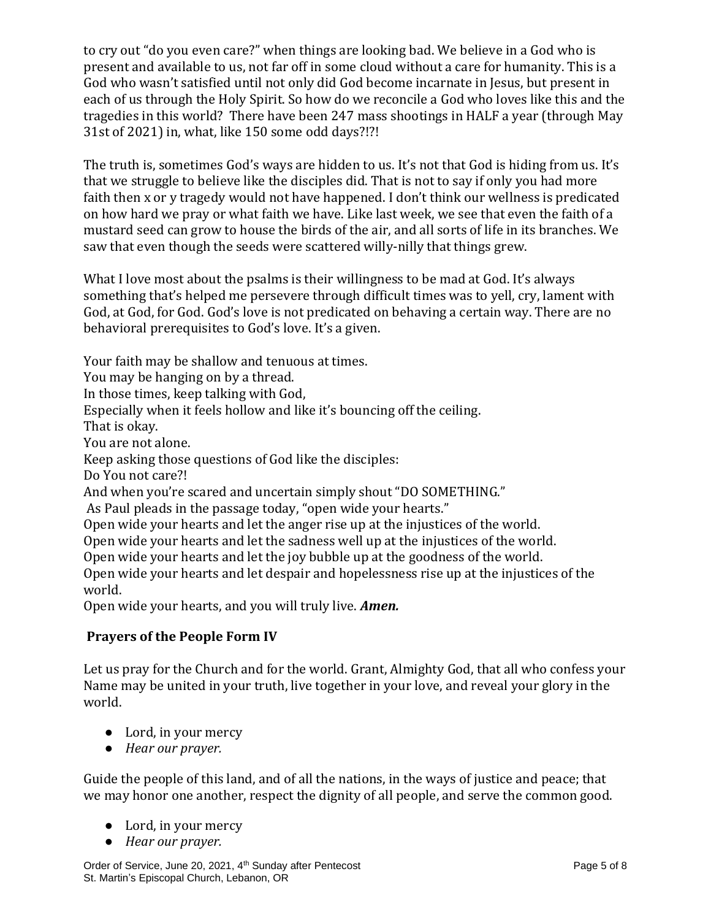to cry out "do you even care?" when things are looking bad. We believe in a God who is present and available to us, not far off in some cloud without a care for humanity. This is a God who wasn't satisfied until not only did God become incarnate in Jesus, but present in each of us through the Holy Spirit. So how do we reconcile a God who loves like this and the tragedies in this world? There have been 247 mass shootings in HALF a year (through May 31st of 2021) in, what, like 150 some odd days?!?!

The truth is, sometimes God's ways are hidden to us. It's not that God is hiding from us. It's that we struggle to believe like the disciples did. That is not to say if only you had more faith then x or y tragedy would not have happened. I don't think our wellness is predicated on how hard we pray or what faith we have. Like last week, we see that even the faith of a mustard seed can grow to house the birds of the air, and all sorts of life in its branches. We saw that even though the seeds were scattered willy-nilly that things grew.

What I love most about the psalms is their willingness to be mad at God. It's always something that's helped me persevere through difficult times was to yell, cry, lament with God, at God, for God. God's love is not predicated on behaving a certain way. There are no behavioral prerequisites to God's love. It's a given.

Your faith may be shallow and tenuous at times.

You may be hanging on by a thread.

In those times, keep talking with God,

Especially when it feels hollow and like it's bouncing off the ceiling.

That is okay.

You are not alone.

Keep asking those questions of God like the disciples:

Do You not care?!

And when you're scared and uncertain simply shout "DO SOMETHING."

As Paul pleads in the passage today, "open wide your hearts."

Open wide your hearts and let the anger rise up at the injustices of the world.

Open wide your hearts and let the sadness well up at the injustices of the world.

Open wide your hearts and let the joy bubble up at the goodness of the world.

Open wide your hearts and let despair and hopelessness rise up at the injustices of the world.

Open wide your hearts, and you will truly live. *Amen.*

# **Prayers of the People Form IV**

Let us pray for the Church and for the world. Grant, Almighty God, that all who confess your Name may be united in your truth, live together in your love, and reveal your glory in the world.

- Lord, in your mercy
- *Hear our prayer.*

Guide the people of this land, and of all the nations, in the ways of justice and peace; that we may honor one another, respect the dignity of all people, and serve the common good.

- Lord, in your mercy
- *Hear our prayer.*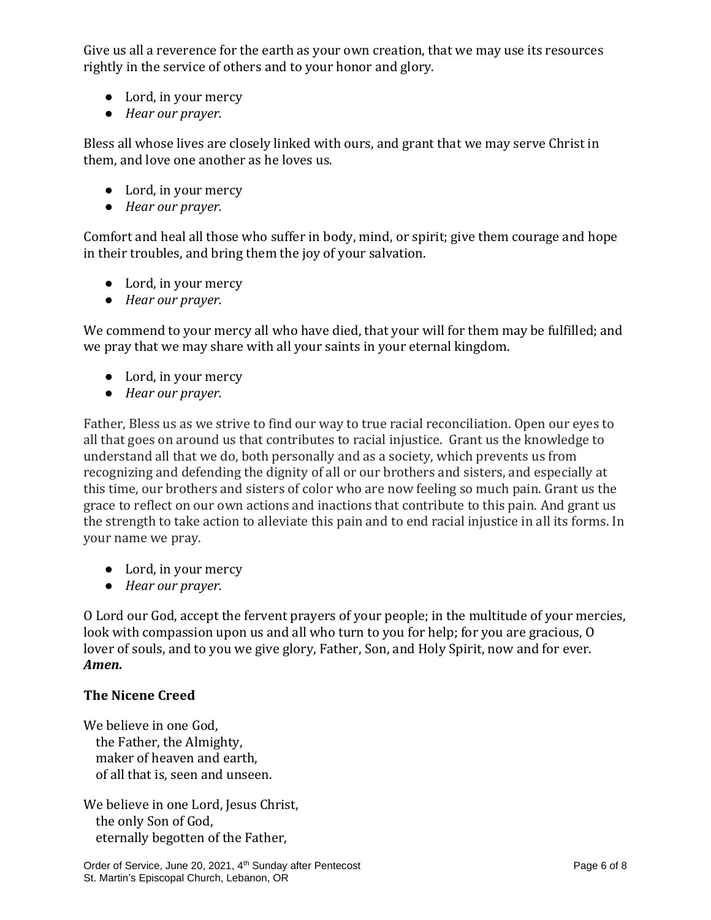Give us all a reverence for the earth as your own creation, that we may use its resources rightly in the service of others and to your honor and glory.

- Lord, in your mercy
- *Hear our prayer.*

Bless all whose lives are closely linked with ours, and grant that we may serve Christ in them, and love one another as he loves us.

- Lord, in your mercy
- *Hear our prayer.*

Comfort and heal all those who suffer in body, mind, or spirit; give them courage and hope in their troubles, and bring them the joy of your salvation.

- Lord, in your mercy
- *Hear our prayer.*

We commend to your mercy all who have died, that your will for them may be fulfilled; and we pray that we may share with all your saints in your eternal kingdom.

- Lord, in your mercy
- *Hear our prayer.*

Father, Bless us as we strive to find our way to true racial reconciliation. Open our eyes to all that goes on around us that contributes to racial injustice. Grant us the knowledge to understand all that we do, both personally and as a society, which prevents us from recognizing and defending the dignity of all or our brothers and sisters, and especially at this time, our brothers and sisters of color who are now feeling so much pain. Grant us the grace to reflect on our own actions and inactions that contribute to this pain. And grant us the strength to take action to alleviate this pain and to end racial injustice in all its forms. In your name we pray.

- Lord, in your mercy
- *Hear our prayer.*

O Lord our God, accept the fervent prayers of your people; in the multitude of your mercies, look with compassion upon us and all who turn to you for help; for you are gracious, O lover of souls, and to you we give glory, Father, Son, and Holy Spirit, now and for ever. *Amen.*

## **The Nicene Creed**

We believe in one God, the Father, the Almighty, maker of heaven and earth, of all that is, seen and unseen.

We believe in one Lord, Jesus Christ, the only Son of God, eternally begotten of the Father,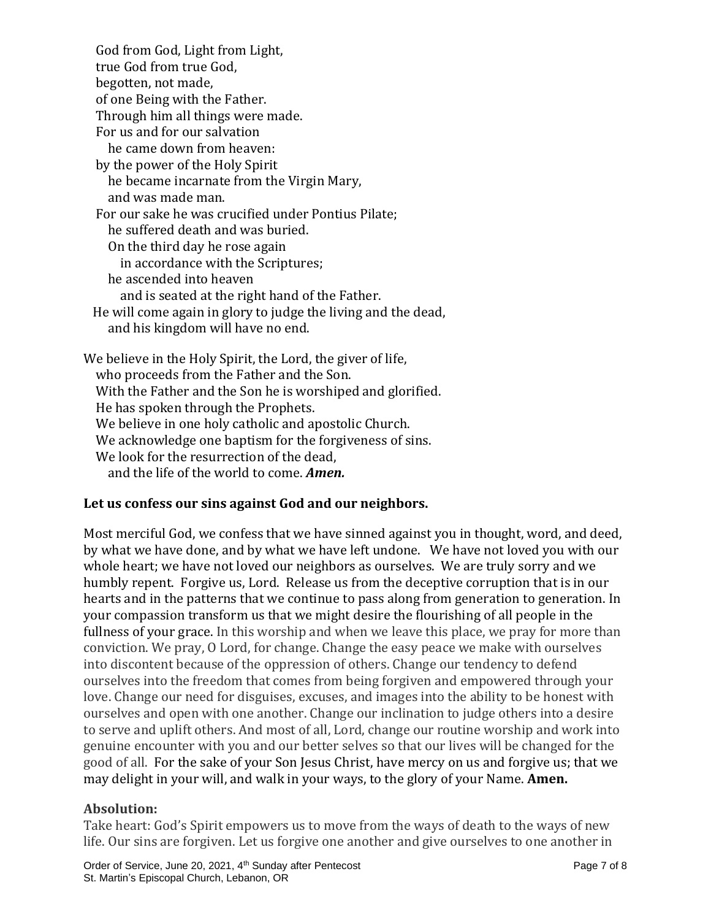God from God, Light from Light, true God from true God, begotten, not made, of one Being with the Father. Through him all things were made. For us and for our salvation he came down from heaven: by the power of the Holy Spirit he became incarnate from the Virgin Mary, and was made man. For our sake he was crucified under Pontius Pilate; he suffered death and was buried. On the third day he rose again in accordance with the Scriptures; he ascended into heaven and is seated at the right hand of the Father. He will come again in glory to judge the living and the dead, and his kingdom will have no end. We believe in the Holy Spirit, the Lord, the giver of life, who proceeds from the Father and the Son. With the Father and the Son he is worshiped and glorified. He has spoken through the Prophets. We believe in one holy catholic and apostolic Church. We acknowledge one baptism for the forgiveness of sins. We look for the resurrection of the dead.

and the life of the world to come. *Amen.*

## **Let us confess our sins against God and our neighbors.**

Most merciful God, we confess that we have sinned against you in thought, word, and deed, by what we have done, and by what we have left undone. We have not loved you with our whole heart; we have not loved our neighbors as ourselves. We are truly sorry and we humbly repent. Forgive us, Lord. Release us from the deceptive corruption that is in our hearts and in the patterns that we continue to pass along from generation to generation. In your compassion transform us that we might desire the flourishing of all people in the fullness of your grace. In this worship and when we leave this place, we pray for more than conviction. We pray, O Lord, for change. Change the easy peace we make with ourselves into discontent because of the oppression of others. Change our tendency to defend ourselves into the freedom that comes from being forgiven and empowered through your love. Change our need for disguises, excuses, and images into the ability to be honest with ourselves and open with one another. Change our inclination to judge others into a desire to serve and uplift others. And most of all, Lord, change our routine worship and work into genuine encounter with you and our better selves so that our lives will be changed for the good of all. For the sake of your Son Jesus Christ, have mercy on us and forgive us; that we may delight in your will, and walk in your ways, to the glory of your Name. **Amen.**

## **Absolution:**

Take heart: God's Spirit empowers us to move from the ways of death to the ways of new life. Our sins are forgiven. Let us forgive one another and give ourselves to one another in